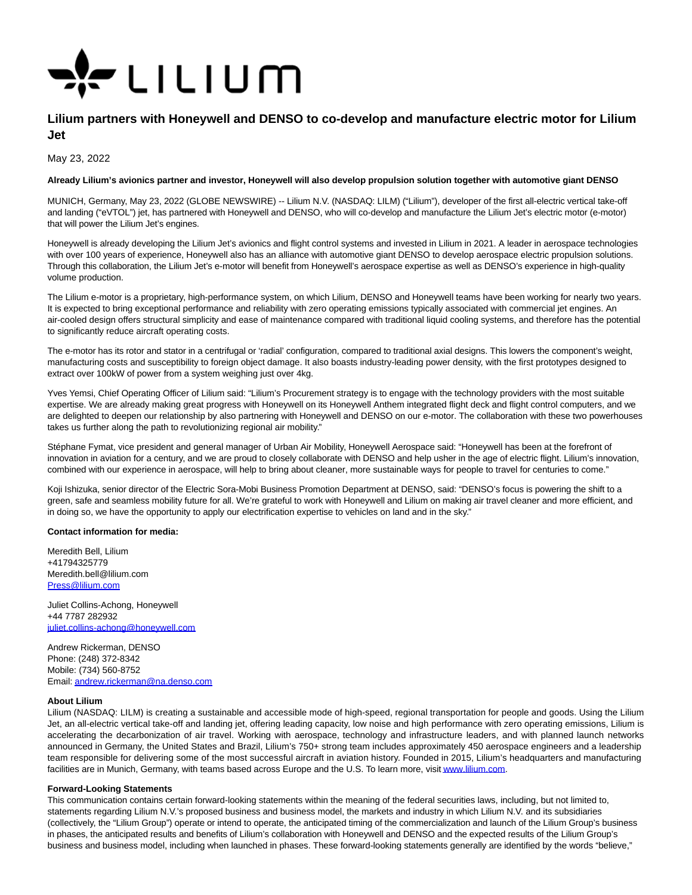

# **Lilium partners with Honeywell and DENSO to co-develop and manufacture electric motor for Lilium Jet**

May 23, 2022

### **Already Lilium's avionics partner and investor, Honeywell will also develop propulsion solution together with automotive giant DENSO**

MUNICH, Germany, May 23, 2022 (GLOBE NEWSWIRE) -- Lilium N.V. (NASDAQ: LILM) ("Lilium"), developer of the first all-electric vertical take-off and landing ("eVTOL") jet, has partnered with Honeywell and DENSO, who will co-develop and manufacture the Lilium Jet's electric motor (e-motor) that will power the Lilium Jet's engines.

Honeywell is already developing the Lilium Jet's avionics and flight control systems and invested in Lilium in 2021. A leader in aerospace technologies with over 100 years of experience, Honeywell also has an alliance with automotive giant DENSO to develop aerospace electric propulsion solutions. Through this collaboration, the Lilium Jet's e-motor will benefit from Honeywell's aerospace expertise as well as DENSO's experience in high-quality volume production.

The Lilium e-motor is a proprietary, high-performance system, on which Lilium, DENSO and Honeywell teams have been working for nearly two years. It is expected to bring exceptional performance and reliability with zero operating emissions typically associated with commercial jet engines. An air-cooled design offers structural simplicity and ease of maintenance compared with traditional liquid cooling systems, and therefore has the potential to significantly reduce aircraft operating costs.

The e-motor has its rotor and stator in a centrifugal or 'radial' configuration, compared to traditional axial designs. This lowers the component's weight, manufacturing costs and susceptibility to foreign object damage. It also boasts industry-leading power density, with the first prototypes designed to extract over 100kW of power from a system weighing just over 4kg.

Yves Yemsi, Chief Operating Officer of Lilium said: "Lilium's Procurement strategy is to engage with the technology providers with the most suitable expertise. We are already making great progress with Honeywell on its Honeywell Anthem integrated flight deck and flight control computers, and we are delighted to deepen our relationship by also partnering with Honeywell and DENSO on our e-motor. The collaboration with these two powerhouses takes us further along the path to revolutionizing regional air mobility."

Stéphane Fymat, vice president and general manager of Urban Air Mobility, Honeywell Aerospace said: "Honeywell has been at the forefront of innovation in aviation for a century, and we are proud to closely collaborate with DENSO and help usher in the age of electric flight. Lilium's innovation, combined with our experience in aerospace, will help to bring about cleaner, more sustainable ways for people to travel for centuries to come."

Koji Ishizuka, senior director of the Electric Sora-Mobi Business Promotion Department at DENSO, said: "DENSO's focus is powering the shift to a green, safe and seamless mobility future for all. We're grateful to work with Honeywell and Lilium on making air travel cleaner and more efficient, and in doing so, we have the opportunity to apply our electrification expertise to vehicles on land and in the sky."

#### **Contact information for media:**

Meredith Bell, Lilium +41794325779 Meredith.bell@lilium.com [Press@lilium.com](https://www.globenewswire.com/Tracker?data=zAb4ozhn_BbFEgoGrl4KJl-YQmyFb2lBl338jMFDT0GaxY_L6iEoR9fB9ZNntjLs8LVDd0nrYUMog1g33uaoLw==) 

Juliet Collins-Achong, Honeywell +44 7787 282932 [juliet.collins-achong@honeywell.com](https://www.globenewswire.com/Tracker?data=U9xUl3BJXGcliTeiS0QPy6bPYcQBzsLI2kZGvUZfsV47gYL1JeStdZL2_NnI-zU8t0z0xBM1Xr0EbmpzB9qVnreEFfLseZIzKblMSx4RfXrZqyyUkDG7zVBun4k-NixN8j5Mp2S2RIRnC9bKXIPvAg==)

Andrew Rickerman, DENSO Phone: (248) 372-8342 Mobile: (734) 560-8752 Email[: andrew.rickerman@na.denso.com](https://www.globenewswire.com/Tracker?data=BKky_Uk4252VItuWjuDok2ix5XXza9Eeno4tdnNSRC4DN3jWo8C_1j_2APCzc0l4S6Jh9_yP5AR_USThZePyfVTvWkJOaSR4wDVF8xhHmT52kvuR2pStrnbqlbHJECZ2)

## **About Lilium**

Lilium (NASDAQ: LILM) is creating a sustainable and accessible mode of high-speed, regional transportation for people and goods. Using the Lilium Jet, an all-electric vertical take-off and landing jet, offering leading capacity, low noise and high performance with zero operating emissions, Lilium is accelerating the decarbonization of air travel. Working with aerospace, technology and infrastructure leaders, and with planned launch networks announced in Germany, the United States and Brazil, Lilium's 750+ strong team includes approximately 450 aerospace engineers and a leadership team responsible for delivering some of the most successful aircraft in aviation history. Founded in 2015, Lilium's headquarters and manufacturing facilities are in Munich, Germany, with teams based across Europe and the U.S. To learn more, visi[t www.lilium.com.](https://www.globenewswire.com/Tracker?data=VituY_RzKf22i7tldLRJfXNySCJmSLYWoGdmQxquuJcZCRfmk6CsvLlNZrPTq4-xuQCI8ht6FGFOeQzDH23XfQ==) 

## **Forward-Looking Statements**

This communication contains certain forward-looking statements within the meaning of the federal securities laws, including, but not limited to, statements regarding Lilium N.V.'s proposed business and business model, the markets and industry in which Lilium N.V. and its subsidiaries (collectively, the "Lilium Group") operate or intend to operate, the anticipated timing of the commercialization and launch of the Lilium Group's business in phases, the anticipated results and benefits of Lilium's collaboration with Honeywell and DENSO and the expected results of the Lilium Group's business and business model, including when launched in phases. These forward-looking statements generally are identified by the words "believe,"